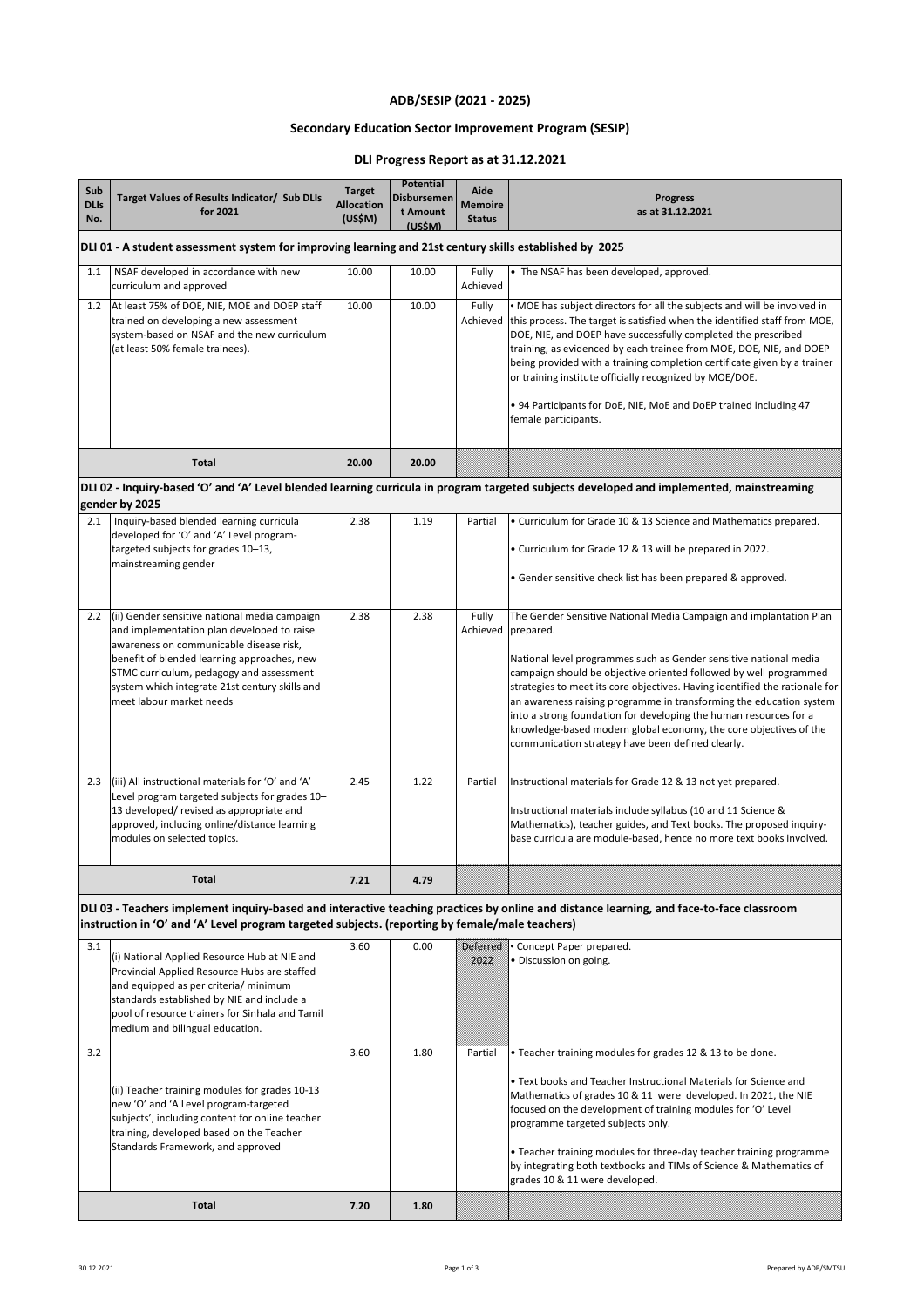2.2 (ii) Gender sensitive national media campaign 2.38 2.38 Fully The Gender Sensitive National Media Campaign and implantation Plan

| Sub<br><b>DLIS</b><br>No. | Target Values of Results Indicator/ Sub DLIs<br>for 2021                                                                                                                 | <b>Target</b><br><b>Allocation</b><br>(US\$M) | <b>Potential</b><br>Disbursemen<br>t Amount<br>(USSM) | <b>Aide</b><br><b>Memoire</b><br><b>Status</b> | <b>Progress</b><br>as at 31.12.2021                                                                                                                                                                                                                                                                                                                                                                                                                                                                                               |  |  |
|---------------------------|--------------------------------------------------------------------------------------------------------------------------------------------------------------------------|-----------------------------------------------|-------------------------------------------------------|------------------------------------------------|-----------------------------------------------------------------------------------------------------------------------------------------------------------------------------------------------------------------------------------------------------------------------------------------------------------------------------------------------------------------------------------------------------------------------------------------------------------------------------------------------------------------------------------|--|--|
|                           | DLI 01 - A student assessment system for improving learning and 21st century skills established by 2025                                                                  |                                               |                                                       |                                                |                                                                                                                                                                                                                                                                                                                                                                                                                                                                                                                                   |  |  |
| 1.1                       | NSAF developed in accordance with new<br>curriculum and approved                                                                                                         | 10.00                                         | 10.00                                                 | Fully<br>Achieved                              | $\bullet$ The NSAF has been developed, approved.                                                                                                                                                                                                                                                                                                                                                                                                                                                                                  |  |  |
| 1.2                       | At least 75% of DOE, NIE, MOE and DOEP staff<br>trained on developing a new assessment<br>system-based on NSAF and the new curriculum<br>(at least 50% female trainees). | 10.00                                         | 10.00                                                 | Fully<br>Achieved                              | • MOE has subject directors for all the subjects and will be involved in<br>this process. The target is satisfied when the identified staff from MOE,<br>DOE, NIE, and DOEP have successfully completed the prescribed<br>training, as evidenced by each trainee from MOE, DOE, NIE, and DOEP<br>being provided with a training completion certificate given by a trainer<br>or training institute officially recognized by MOE/DOE.<br>• 94 Participants for DoE, NIE, MoE and DoEP trained including 47<br>female participants. |  |  |
|                           | <b>Total</b>                                                                                                                                                             | 20.00                                         | 20.00                                                 |                                                |                                                                                                                                                                                                                                                                                                                                                                                                                                                                                                                                   |  |  |
|                           | gender by 2025                                                                                                                                                           |                                               |                                                       |                                                | DLI 02 - Inquiry-based 'O' and 'A' Level blended learning curricula in program targeted subjects developed and implemented, mainstreaming                                                                                                                                                                                                                                                                                                                                                                                         |  |  |
| 2.1                       | Inquiry-based blended learning curricula<br>developed for 'O' and 'A' Level program-<br>targeted subjects for grades 10–13,<br>mainstreaming gender                      | 2.38                                          | 1.19                                                  | Partial                                        | • Curriculum for Grade 10 & 13 Science and Mathematics prepared.<br>• Curriculum for Grade 12 & 13 will be prepared in 2022.<br>• Gender sensitive check list has been prepared & approved.                                                                                                                                                                                                                                                                                                                                       |  |  |

|     | <b>Total</b>                                                                                                                                                                                                                                                    | 7.21 | 4.79 |         |                                                                                                                                                                                                                                                                                                                                                                                                                                                                                                                     |
|-----|-----------------------------------------------------------------------------------------------------------------------------------------------------------------------------------------------------------------------------------------------------------------|------|------|---------|---------------------------------------------------------------------------------------------------------------------------------------------------------------------------------------------------------------------------------------------------------------------------------------------------------------------------------------------------------------------------------------------------------------------------------------------------------------------------------------------------------------------|
| 2.3 | (iii) All instructional materials for 'O' and 'A'<br>Level program targeted subjects for grades 10-<br>13 developed/ revised as appropriate and<br>approved, including online/distance learning<br>modules on selected topics.                                  | 2.45 | 1.22 | Partial | Instructional materials for Grade 12 & 13 not yet prepared.<br>Instructional materials include syllabus (10 and 11 Science &<br>Mathematics), teacher guides, and Text books. The proposed inquiry-<br>base curricula are module-based, hence no more text books involved.                                                                                                                                                                                                                                          |
|     | and implementation plan developed to raise<br>awareness on communicable disease risk,<br>benefit of blended learning approaches, new<br>STMC curriculum, pedagogy and assessment<br>system which integrate 21st century skills and<br>lmeet labour market needs |      |      |         | Achieved   prepared.<br>National level programmes such as Gender sensitive national media<br>campaign should be objective oriented followed by well programmed<br>strategies to meet its core objectives. Having identified the rationale for<br>an awareness raising programme in transforming the education system<br>into a strong foundation for developing the human resources for a<br>knowledge-based modern global economy, the core objectives of the<br>communication strategy have been defined clearly. |

| 3.1                          | (i) National Applied Resource Hub at NIE and<br>Provincial Applied Resource Hubs are staffed<br>and equipped as per criteria/ minimum<br>standards established by NIE and include a<br>pool of resource trainers for Sinhala and Tamil<br>medium and bilingual education. | 3.60 | 0.00 | DSDD    | Deterred • Concept Paper prepared.<br>• Discussion on going.                                                                                                                                                                                                                                                                                                                                                                                                                                        |
|------------------------------|---------------------------------------------------------------------------------------------------------------------------------------------------------------------------------------------------------------------------------------------------------------------------|------|------|---------|-----------------------------------------------------------------------------------------------------------------------------------------------------------------------------------------------------------------------------------------------------------------------------------------------------------------------------------------------------------------------------------------------------------------------------------------------------------------------------------------------------|
| 3.2                          | (ii) Teacher training modules for grades $10-13$<br>new 'O' and 'A Level program-targeted<br>subjects', including content for online teacher<br>training, developed based on the Teacher<br>Standards Framework, and approved                                             | 3.60 | 1.80 | Partial | • Teacher training modules for grades 12 & 13 to be done.<br>$\bullet$ Text books and Teacher Instructional Materials for Science and<br>Mathematics of grades 10 & 11 were developed. In 2021, the NIE<br>focused on the development of training modules for 'O' Level<br>programme targeted subjects only.<br>$\bullet$ Teacher training modules for three-day teacher training programme<br>by integrating both textbooks and TIMs of Science & Mathematics of<br>grades 10 & 11 were developed. |
| <b>Total</b><br>1.80<br>7.20 |                                                                                                                                                                                                                                                                           |      |      |         |                                                                                                                                                                                                                                                                                                                                                                                                                                                                                                     |





## **ADB/SESIP (2021 - 2025)**

## **Secondary Education Sector Improvement Program (SESIP)**

**DLI 03 - Teachers implement inquiry-based and interactive teaching practices by online and distance learning, and face-to-face classroom instruction in 'O' and 'A' Level program targeted subjects. (reporting by female/male teachers)** 

## **DLI Progress Report as at 31.12.2021**

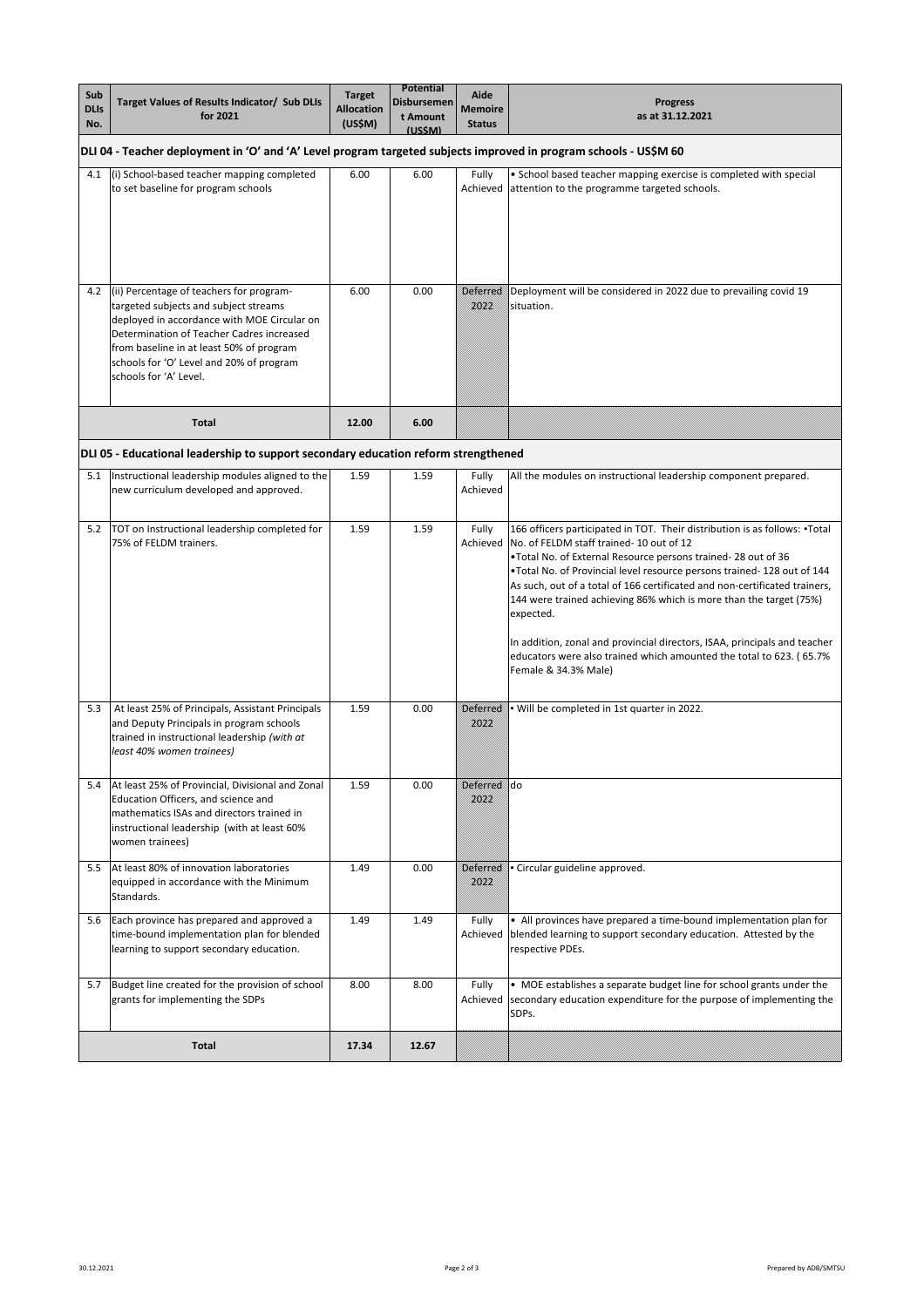|             |                                                                                                                   |                   | <b>Potential</b>   |                |                                                                             |  |
|-------------|-------------------------------------------------------------------------------------------------------------------|-------------------|--------------------|----------------|-----------------------------------------------------------------------------|--|
| Sub         | Target Values of Results Indicator/ Sub DLIs                                                                      | <b>Target</b>     | <b>Disbursemen</b> | <b>Aide</b>    | <b>Progress</b>                                                             |  |
| <b>DLIs</b> | for 2021                                                                                                          | <b>Allocation</b> | t Amount           | <b>Memoire</b> | as at 31.12.2021                                                            |  |
| No.         |                                                                                                                   | (US\$M)           | (USSM)             | <b>Status</b>  |                                                                             |  |
|             | DLI 04 - Teacher deployment in 'O' and 'A' Level program targeted subjects improved in program schools - US\$M 60 |                   |                    |                |                                                                             |  |
| 4.1         | (i) School-based teacher mapping completed                                                                        | 6.00              | 6.00               | <b>Fully</b>   | • School based teacher mapping exercise is completed with special           |  |
|             | to set baseline for program schools                                                                               |                   |                    |                | Achieved attention to the programme targeted schools.                       |  |
|             |                                                                                                                   |                   |                    |                |                                                                             |  |
|             |                                                                                                                   |                   |                    |                |                                                                             |  |
|             |                                                                                                                   |                   |                    |                |                                                                             |  |
|             |                                                                                                                   |                   |                    |                |                                                                             |  |
|             |                                                                                                                   |                   |                    |                |                                                                             |  |
|             |                                                                                                                   |                   |                    |                |                                                                             |  |
| 4.2         | (ii) Percentage of teachers for program-                                                                          | 6.00              | 0.00               | Deterred       | Deployment will be considered in 2022 due to prevailing covid 19            |  |
|             | targeted subjects and subject streams                                                                             |                   |                    | DSDD           | situation.                                                                  |  |
|             | deployed in accordance with MOE Circular on                                                                       |                   |                    |                |                                                                             |  |
|             | Determination of Teacher Cadres increased                                                                         |                   |                    |                |                                                                             |  |
|             | from baseline in at least 50% of program                                                                          |                   |                    |                |                                                                             |  |
|             | schools for 'O' Level and 20% of program                                                                          |                   |                    |                |                                                                             |  |
|             | schools for 'A' Level.                                                                                            |                   |                    |                |                                                                             |  |
|             |                                                                                                                   |                   |                    |                |                                                                             |  |
|             |                                                                                                                   |                   |                    |                |                                                                             |  |
|             |                                                                                                                   |                   |                    |                |                                                                             |  |
|             | <b>Total</b>                                                                                                      | 12.00             | 6.00               |                |                                                                             |  |
|             | DLI 05 - Educational leadership to support secondary education reform strengthened                                |                   |                    |                |                                                                             |  |
| 5.1         | Instructional leadership modules aligned to the                                                                   | 1.59              | 1.59               | Fully          | All the modules on instructional leadership component prepared.             |  |
|             | new curriculum developed and approved.                                                                            |                   |                    | Achieved       |                                                                             |  |
|             |                                                                                                                   |                   |                    |                |                                                                             |  |
|             |                                                                                                                   |                   |                    |                |                                                                             |  |
| 5.2         | TOT on Instructional leadership completed for                                                                     | 1.59              | 1.59               | Fully          | 166 officers participated in TOT. Their distribution is as follows: •Total  |  |
|             | 75% of FELDM trainers.                                                                                            |                   |                    |                | Achieved   No. of FELDM staff trained-10 out of 12                          |  |
|             |                                                                                                                   |                   |                    |                | •Total No. of External Resource persons trained-28 out of 36                |  |
|             |                                                                                                                   |                   |                    |                | .Total No. of Provincial level resource persons trained-128 out of 144      |  |
|             |                                                                                                                   |                   |                    |                | As such, out of a total of 166 certificated and non-certificated trainers,  |  |
|             |                                                                                                                   |                   |                    |                | 144 were trained achieving 86% which is more than the target (75%)          |  |
|             |                                                                                                                   |                   |                    |                | expected.                                                                   |  |
|             |                                                                                                                   |                   |                    |                |                                                                             |  |
|             |                                                                                                                   |                   |                    |                | In addition, zonal and provincial directors, ISAA, principals and teacher   |  |
|             |                                                                                                                   |                   |                    |                | educators were also trained which amounted the total to 623. (65.7%         |  |
|             |                                                                                                                   |                   |                    |                | Female & 34.3% Male)                                                        |  |
|             |                                                                                                                   |                   |                    |                |                                                                             |  |
| 5.3         | At least 25% of Principals, Assistant Principals                                                                  | 1.59              | 0.00               |                | Deterred • Will be completed in 1st quarter in 2022.                        |  |
|             | and Deputy Principals in program schools                                                                          |                   |                    | 2822           |                                                                             |  |
|             | trained in instructional leadership (with at                                                                      |                   |                    |                |                                                                             |  |
|             | least 40% women trainees)                                                                                         |                   |                    |                |                                                                             |  |
|             |                                                                                                                   |                   |                    |                |                                                                             |  |
| 5.4         | At least 25% of Provincial, Divisional and Zonal                                                                  | 1.59              | 0.00               | Deferred do    |                                                                             |  |
|             | <b>Education Officers, and science and</b>                                                                        |                   |                    | DS DD          |                                                                             |  |
|             | Imathematics ISAs and directors trained in                                                                        |                   |                    |                |                                                                             |  |
|             | instructional leadership (with at least 60%                                                                       |                   |                    |                |                                                                             |  |
|             | women trainees)                                                                                                   |                   |                    |                |                                                                             |  |
| 5.5         | At least 80% of innovation laboratories                                                                           | 1.49              | 0.00               | Dekerred       | • Circular guideline approved.                                              |  |
|             | equipped in accordance with the Minimum                                                                           |                   |                    | DSDD           |                                                                             |  |
|             | Standards.                                                                                                        |                   |                    |                |                                                                             |  |
|             |                                                                                                                   |                   |                    |                |                                                                             |  |
| 5.6         | Each province has prepared and approved a                                                                         | 1.49              | 1.49               | Fully          | • All provinces have prepared a time-bound implementation plan for          |  |
|             | time-bound implementation plan for blended                                                                        |                   |                    |                | Achieved   blended learning to support secondary education. Attested by the |  |
|             | learning to support secondary education.                                                                          |                   |                    |                | respective PDEs.                                                            |  |
|             |                                                                                                                   |                   |                    |                |                                                                             |  |
| 5.7         | Budget line created for the provision of school                                                                   | 8.00              | 8.00               | Fully          | • MOE establishes a separate budget line for school grants under the        |  |
|             | grants for implementing the SDPs                                                                                  |                   |                    | Achieved       | secondary education expenditure for the purpose of implementing the         |  |
|             |                                                                                                                   |                   |                    |                | SDPs.                                                                       |  |
|             |                                                                                                                   |                   |                    |                |                                                                             |  |
|             | <b>Total</b>                                                                                                      | 17.34             | 12.67              |                |                                                                             |  |